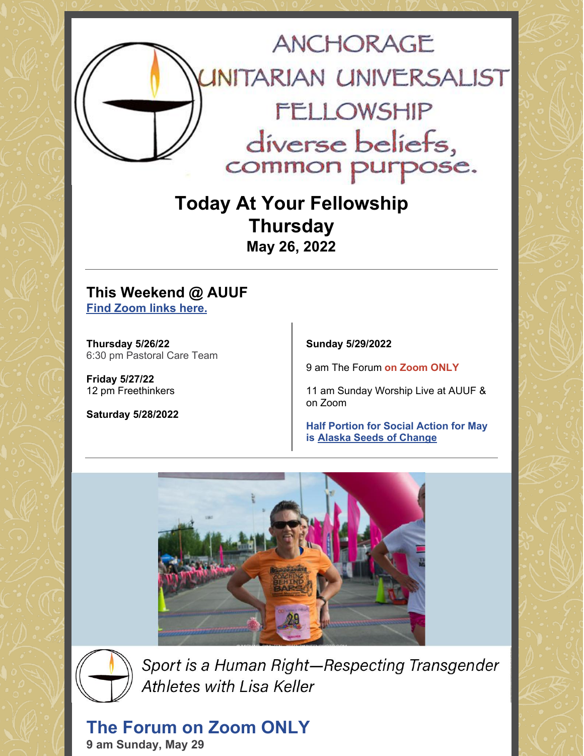

**Today At Your Fellowship Thursday May 26, 2022**

### **This Weekend @ AUUF Find [Zoom](https://www.anchorageuuf.org/whats-happening) links here.**

**Thursday 5/26/22** 6:30 pm Pastoral Care Team

**Friday 5/27/22** 12 pm Freethinkers

**Saturday 5/28/2022**

**Sunday 5/29/2022**

9 am The Forum **on Zoom ONLY**

11 am Sunday Worship Live at AUUF & on Zoom

**Half Portion for Social Action for May is Alaska Seeds of [Change](https://www.eservicepayments.com/cgi-bin/Vanco_ver3.vps?appver3=Fi1giPL8kwX_Oe1AO50jRq-vqhYD4HFEUDzzpS446PZEOVZpPcIw91FrYieK2rA42EvVVAEjqawDomKT1pboucV3cfeg9mlq7KhWIsh8T0g=&ver=3)**





Sport is a Human Right-Respecting Transgender **Athletes with Lisa Keller** 

**The Forum on Zoom ONLY 9 am Sunday, May 29**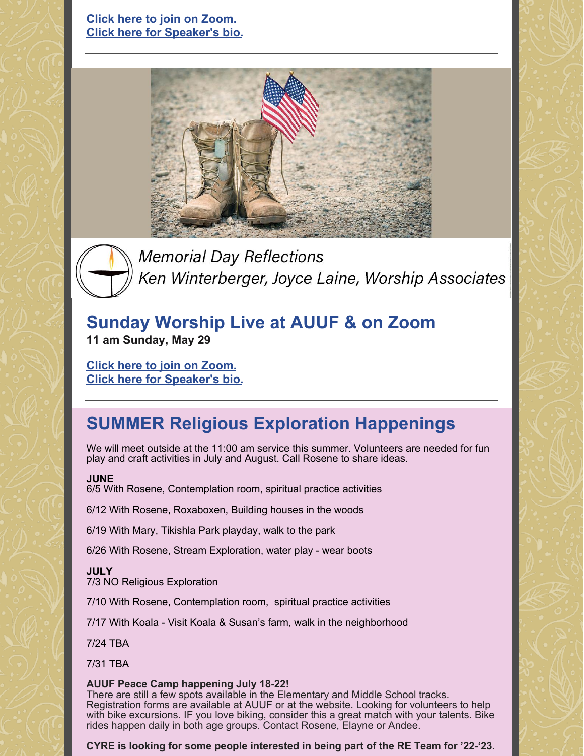

**Memorial Day Reflections** Ken Winterberger, Joyce Laine, Worship Associates

### **Sunday Worship Live at AUUF & on Zoom 11 am Sunday, May 29**

**Click here to join on [Zoom.](https://www.anchorageuuf.org/sundayonzoom) Click here for [Speaker's](https://www.anchorageuuf.org/services-support) bio.**

# **SUMMER Religious Exploration Happenings**

We will meet outside at the 11:00 am service this summer. Volunteers are needed for fun play and craft activities in July and August. Call Rosene to share ideas.

### **JUNE**

6/5 With Rosene, Contemplation room, spiritual practice activities

6/12 With Rosene, Roxaboxen, Building houses in the woods

6/19 With Mary, Tikishla Park playday, walk to the park

6/26 With Rosene, Stream Exploration, water play - wear boots

### **JULY**

7/3 NO Religious Exploration

- 7/10 With Rosene, Contemplation room, spiritual practice activities
- 7/17 With Koala Visit Koala & Susan's farm, walk in the neighborhood

7/24 TBA

7/31 TBA

### **AUUF Peace Camp happening July 18-22!**

There are still a few spots available in the Elementary and Middle School tracks. Registration forms are available at AUUF or at the website. Looking for volunteers to help with bike excursions. IF you love biking, consider this a great match with your talents. Bike rides happen daily in both age groups. Contact Rosene, Elayne or Andee.

**CYRE is looking for some people interested in being part of the RE Team for '22-'23.**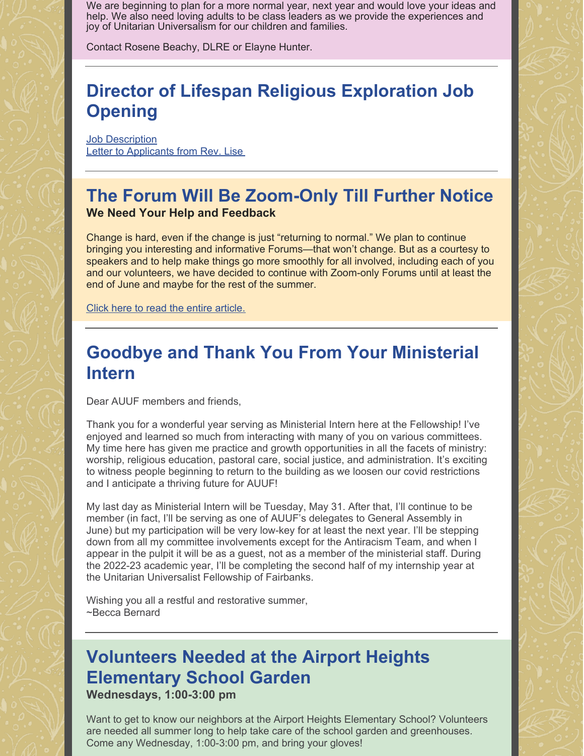We are beginning to plan for a more normal year, next year and would love your ideas and help. We also need loving adults to be class leaders as we provide the experiences and joy of Unitarian Universalism for our children and families.

Contact Rosene Beachy, DLRE or Elayne Hunter.

# **Director of Lifespan Religious Exploration Job Opening**

**Job [Description](https://docs.google.com/document/d/1KaqAM5hJUiNjFws2ZzBgc-5yv19MNb9F/edit?usp=sharing&ouid=102381742394212056852&rtpof=true&sd=true)** Letter to [Applicants](https://docs.google.com/document/d/1SPxGoNCbAj-StpTkNW2eXVaJvPm9Fkdx/edit?usp=sharing&ouid=102381742394212056852&rtpof=true&sd=true) from Rev. Lise

### **The Forum Will Be Zoom-Only Till Further Notice We Need Your Help and Feedback**

Change is hard, even if the change is just "returning to normal." We plan to continue bringing you interesting and informative Forums—that won't change. But as a courtesy to speakers and to help make things go more smoothly for all involved, including each of you and our volunteers, we have decided to continue with Zoom-only Forums until at least the end of June and maybe for the rest of the summer.

Click here to read the entire [article.](https://docs.google.com/document/d/1KURyQRhCAbz785VQJ26J0c4FHGvh0nwnnDK6AE7VKAE/edit?usp=sharing)

## **Goodbye and Thank You From Your Ministerial Intern**

Dear AUUF members and friends,

Thank you for a wonderful year serving as Ministerial Intern here at the Fellowship! I've enjoyed and learned so much from interacting with many of you on various committees. My time here has given me practice and growth opportunities in all the facets of ministry: worship, religious education, pastoral care, social justice, and administration. It's exciting to witness people beginning to return to the building as we loosen our covid restrictions and I anticipate a thriving future for AUUF!

My last day as Ministerial Intern will be Tuesday, May 31. After that, I'll continue to be member (in fact, I'll be serving as one of AUUF's delegates to General Assembly in June) but my participation will be very low-key for at least the next year. I'll be stepping down from all my committee involvements except for the Antiracism Team, and when I appear in the pulpit it will be as a guest, not as a member of the ministerial staff. During the 2022-23 academic year, I'll be completing the second half of my internship year at the Unitarian Universalist Fellowship of Fairbanks.

Wishing you all a restful and restorative summer, ~Becca Bernard

### **Volunteers Needed at the Airport Heights Elementary School Garden Wednesdays, 1:00-3:00 pm**

Want to get to know our neighbors at the Airport Heights Elementary School? Volunteers are needed all summer long to help take care of the school garden and greenhouses. Come any Wednesday, 1:00-3:00 pm, and bring your gloves!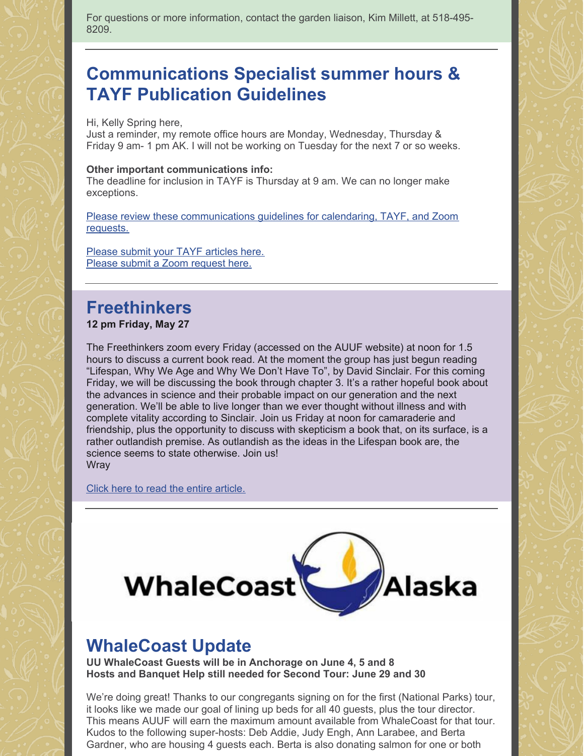For questions or more information, contact the garden liaison, Kim Millett, at 518-495- 8209.

## **Communications Specialist summer hours & TAYF Publication Guidelines**

Hi, Kelly Spring here,

Just a reminder, my remote office hours are Monday, Wednesday, Thursday & Friday 9 am- 1 pm AK. I will not be working on Tuesday for the next 7 or so weeks.

#### **Other important communications info:**

The deadline for inclusion in TAYF is Thursday at 9 am. We can no longer make exceptions.

Please review these [communications](https://docs.google.com/document/d/16oiuhwxP7JgTDFUMBvTtbG5lVj3uI-HdfHdxzLXs3bE/edit?usp=sharing) guidelines for calendaring, TAYF, and Zoom requests.

Please submit your TAYF [articles](https://www.anchorageuuf.org/communications) here. Please submit a Zoom [request](https://www.anchorageuuf.org/communications) here.

## **Freethinkers**

#### **12 pm Friday, May 27**

The Freethinkers zoom every Friday (accessed on the AUUF website) at noon for 1.5 hours to discuss a current book read. At the moment the group has just begun reading "Lifespan, Why We Age and Why We Don't Have To", by David Sinclair. For this coming Friday, we will be discussing the book through chapter 3. It's a rather hopeful book about the advances in science and their probable impact on our generation and the next generation. We'll be able to live longer than we ever thought without illness and with complete vitality according to Sinclair. Join us Friday at noon for camaraderie and friendship, plus the opportunity to discuss with skepticism a book that, on its surface, is a rather outlandish premise. As outlandish as the ideas in the Lifespan book are, the science seems to state otherwise. Join us! **Wray** 

Click here to read the entire [article.](https://docs.google.com/document/d/1GTZEFsKXqoMQTj1JN4PnAWyy0fgNxmW1IMO0hEHv6mw/edit?usp=sharing)



### **WhaleCoast Update**

**UU WhaleCoast Guests will be in Anchorage on June 4, 5 and 8 Hosts and Banquet Help still needed for Second Tour: June 29 and 30**

We're doing great! Thanks to our congregants signing on for the first (National Parks) tour, it looks like we made our goal of lining up beds for all 40 guests, plus the tour director. This means AUUF will earn the maximum amount available from WhaleCoast for that tour. Kudos to the following super-hosts: Deb Addie, Judy Engh, Ann Larabee, and Berta Gardner, who are housing 4 guests each. Berta is also donating salmon for one or both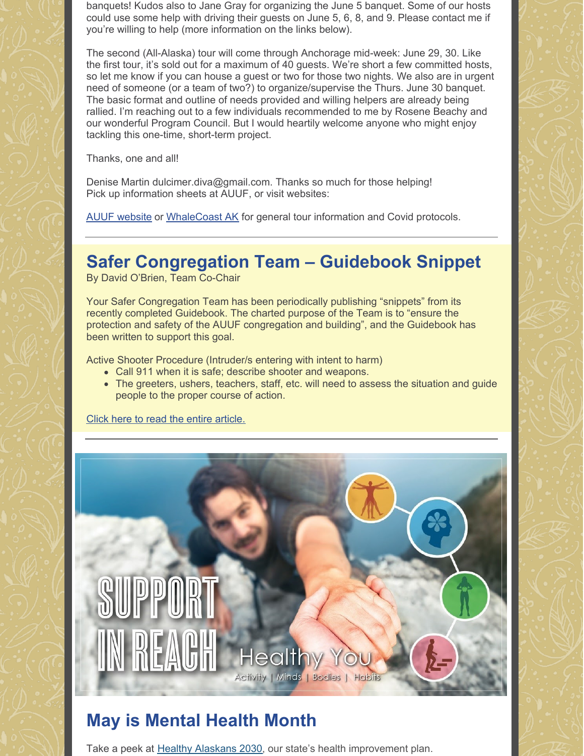banquets! Kudos also to Jane Gray for organizing the June 5 banquet. Some of our hosts could use some help with driving their guests on June 5, 6, 8, and 9. Please contact me if you're willing to help (more information on the links below).

The second (All-Alaska) tour will come through Anchorage mid-week: June 29, 30. Like the first tour, it's sold out for a maximum of 40 guests. We're short a few committed hosts, so let me know if you can house a guest or two for those two nights. We also are in urgent need of someone (or a team of two?) to organize/supervise the Thurs. June 30 banquet. The basic format and outline of needs provided and willing helpers are already being rallied. I'm reaching out to a few individuals recommended to me by Rosene Beachy and our wonderful Program Council. But I would heartily welcome anyone who might enjoy tackling this one-time, short-term project.

Thanks, one and all!

Denise Martin dulcimer.diva@gmail.com. Thanks so much for those helping! Pick up information sheets at AUUF, or visit websites:

AUUF [website](https://www.anchorageuuf.org/fund-raisers) or [WhaleCoast](https://whalecoastak.org) AK for general tour information and Covid protocols.

# **Safer Congregation Team – Guidebook Snippet**

By David O'Brien, Team Co-Chair

Your Safer Congregation Team has been periodically publishing "snippets" from its recently completed Guidebook. The charted purpose of the Team is to "ensure the protection and safety of the AUUF congregation and building", and the Guidebook has been written to support this goal.

Active Shooter Procedure (Intruder/s entering with intent to harm)

- Call 911 when it is safe; describe shooter and weapons.
- The greeters, ushers, teachers, staff, etc. will need to assess the situation and guide people to the proper course of action.

Click here to read the entire [article.](https://docs.google.com/document/d/1hO3UHXdAptjLcNjPn8lNSVMn380ysWNy/edit?usp=sharing&ouid=102381742394212056852&rtpof=true&sd=true)



# **May is Mental Health Month**

Take a peek at **Healthy [Alaskans](https://lnks.gd/l/eyJhbGciOiJIUzI1NiJ9.eyJlbWFpbCI6Im1hdHN1c2lkQGdtYWlsLmNvbSIsImJ1bGxldGluX2xpbmtfaWQiOiIxMDciLCJzdWJzY3JpYmVyX2lkIjoiMTE2MDM5MDk5MCIsImxpbmtfaWQiOiIxNTM1MTk5OTQ3IiwidXJpIjoiYnAyOmRpZ2VzdCIsInVybCI6Imh0dHBzOi8vd3d3LmhlYWx0aHlhbGFza2Fucy5vcmcvIiwiYnVsbGV0aW5faWQiOiIyMDIyMDUxOC41ODA2MjE2MSJ9.ugfOCdawe1UR50Y-ZBIebyd4JrwdpgaIg_Jfjf0TzP8) 2030**, our state's health improvement plan.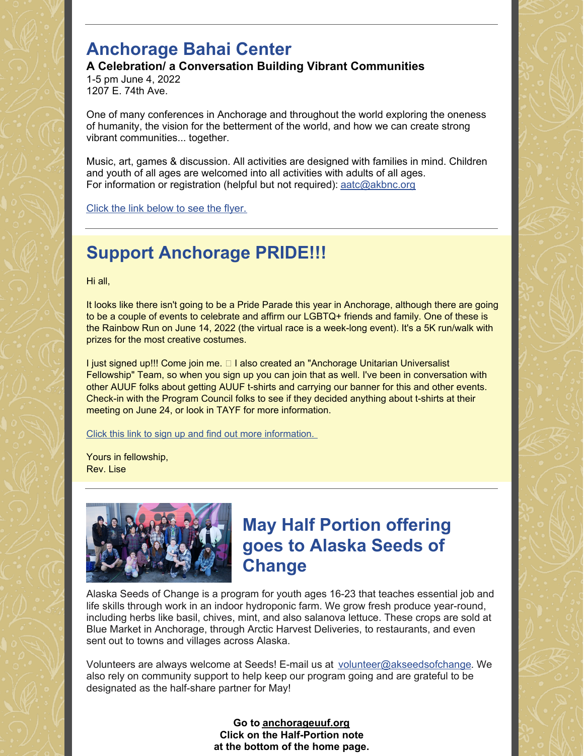## **Anchorage Bahai Center**

**A Celebration/ a Conversation Building Vibrant Communities**

1-5 pm June 4, 2022 1207 E. 74th Ave.

One of many conferences in Anchorage and throughout the world exploring the oneness of humanity, the vision for the betterment of the world, and how we can create strong vibrant communities... together.

Music, art, games & discussion. All activities are designed with families in mind. Children and youth of all ages are welcomed into all activities with adults of all ages. For information or registration (helpful but not required): aatc@akbnc.org

Click the link [below](https://drive.google.com/file/d/1XR4IXRoC7ZzR1qaidzMvF8P9ltleUEKK/view?usp=sharing) to see the flyer.

# **Support Anchorage PRIDE!!!**

Hi all,

It looks like there isn't going to be a Pride Parade this year in Anchorage, although there are going to be a couple of events to celebrate and affirm our LGBTQ+ friends and family. One of these is the Rainbow Run on June 14, 2022 (the virtual race is a week-long event). It's a 5K run/walk with prizes for the most creative costumes.

I just signed up!!! Come join me. □ I also created an "Anchorage Unitarian Universalist Fellowship" Team, so when you sign up you can join that as well. I've been in conversation with other AUUF folks about getting AUUF t-shirts and carrying our banner for this and other events. Check-in with the Program Council folks to see if they decided anything about t-shirts at their meeting on June 24, or look in TAYF for more information.

Click this link to sign up and find out more [information.](https://runsignup.com/Race/AK/Anchorage/AKRainbowRun)

Yours in fellowship, Rev. Lise



## **May Half Portion offering goes to Alaska Seeds of Change**

Alaska Seeds of Change is a program for youth ages 16-23 that teaches essential job and life skills through work in an indoor hydroponic farm. We grow fresh produce year-round, including herbs like basil, chives, mint, and also salanova lettuce. These crops are sold at Blue Market in Anchorage, through Arctic Harvest Deliveries, to restaurants, and even sent out to towns and villages across Alaska.

Volunteers are always welcome at Seeds! E-mail us at volunteer@akseedsofchange. We also rely on community support to help keep our program going and are grateful to be designated as the half-share partner for May!

> **Go to [anchorageuuf.org](http://anchorageuuf.org/) Click on the Half-Portion note at the bottom of the home page.**